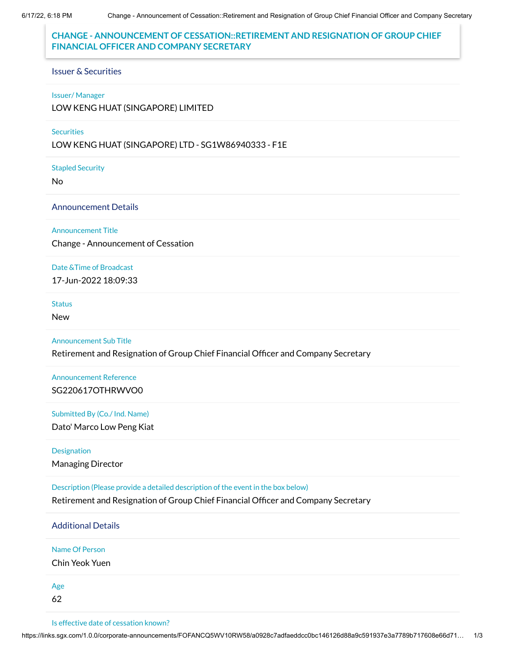## **CHANGE - ANNOUNCEMENT OF CESSATION::RETIREMENT AND RESIGNATION OF GROUP CHIEF FINANCIAL OFFICER AND COMPANY SECRETARY**

#### Issuer & Securities

#### Issuer/ Manager

LOW KENG HUAT (SINGAPORE) LIMITED

#### **Securities**

LOW KENG HUAT (SINGAPORE) LTD - SG1W86940333 - F1E

Stapled Security

No

Announcement Details

### Announcement Title

Change - Announcement of Cessation

Date &Time of Broadcast 17-Jun-2022 18:09:33

**Status** 

New

#### Announcement Sub Title

Retirement and Resignation of Group Chief Financial Officer and Company Secretary

Announcement Reference SG220617OTHRWVO0

### Submitted By (Co./ Ind. Name)

Dato' Marco Low Peng Kiat

# Designation

Managing Director

Description (Please provide a detailed description of the event in the box below)

Retirement and Resignation of Group Chief Financial Officer and Company Secretary

## Additional Details

Name Of Person

Chin Yeok Yuen

Age

62

Is effective date of cessation known?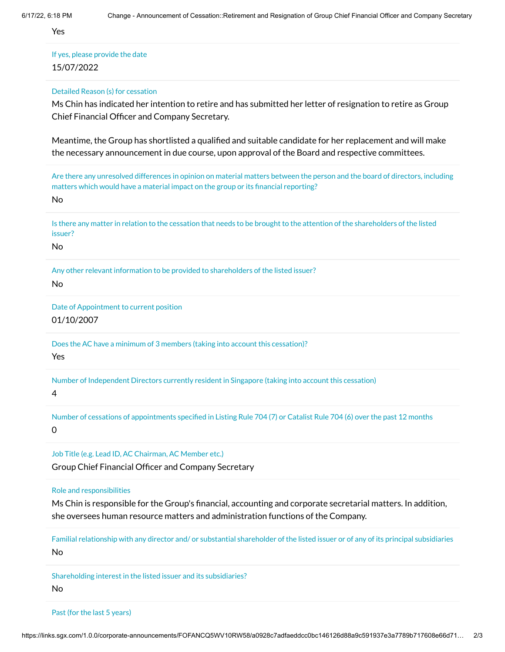Yes

If yes, please provide the date 15/07/2022

Detailed Reason (s) for cessation

Ms Chin has indicated her intention to retire and has submitted her letter of resignation to retire as Group Chief Financial Officer and Company Secretary.

Meantime, the Group has shortlisted a qualified and suitable candidate for her replacement and will make the necessary announcement in due course, upon approval of the Board and respective committees.

Are there any unresolved differences in opinion on material matters between the person and the board of directors, including matters which would have a material impact on the group or its financial reporting?

No

Is there any matter in relation to the cessation that needs to be brought to the attention of the shareholders of the listed issuer?

No

Any other relevant information to be provided to shareholders of the listed issuer?

No

Date of Appointment to current position 01/10/2007

Does the AC have a minimum of 3 members (taking into account this cessation)? Yes

Number of Independent Directors currently resident in Singapore (taking into account this cessation)

4

Number of cessations of appointments specified in Listing Rule 704 (7) or Catalist Rule 704 (6) over the past 12 months 0

Job Title (e.g. Lead ID, AC Chairman, AC Member etc.)

Group Chief Financial Officer and Company Secretary

Role and responsibilities

Ms Chin is responsible for the Group's financial, accounting and corporate secretarial matters. In addition, she oversees human resource matters and administration functions of the Company.

Familial relationship with any director and/ or substantial shareholder of the listed issuer or of any of its principal subsidiaries No

Shareholding interest in the listed issuer and its subsidiaries? No

Past (for the last 5 years)